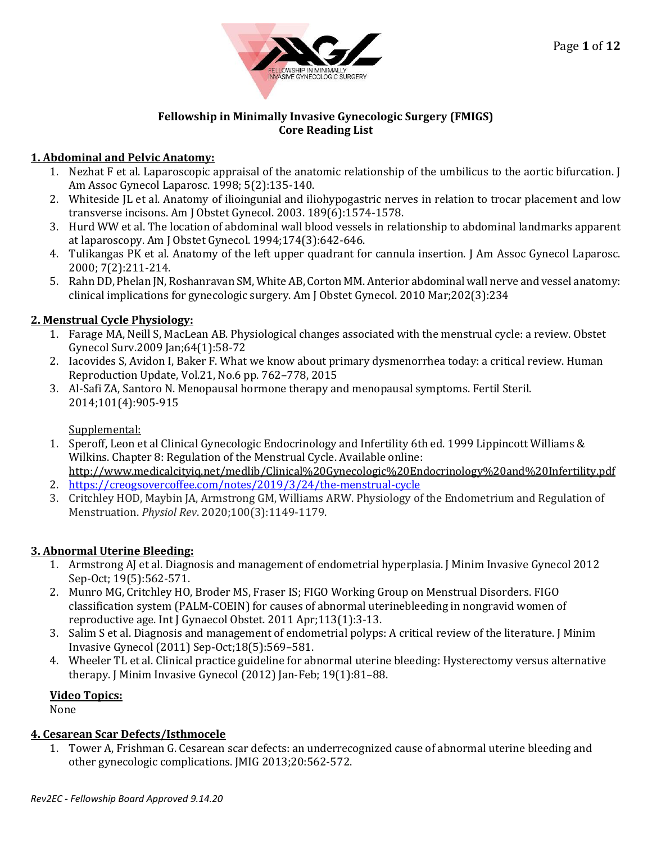

#### **Fellowship in Minimally Invasive Gynecologic Surgery (FMIGS) Core Reading List**

## **1. Abdominal and Pelvic Anatomy:**

- 1. Nezhat F et al. Laparoscopic appraisal of the anatomic relationship of the umbilicus to the aortic bifurcation. J Am Assoc Gynecol Laparosc. 1998; 5(2):135‐140.
- 2. Whiteside JL et al. Anatomy of ilioingunial and iliohypogastric nerves in relation to trocar placement and low transverse incisons. Am J Obstet Gynecol. 2003. 189(6):1574‐1578.
- 3. Hurd WW et al. The location of abdominal wall blood vessels in relationship to abdominal landmarks apparent at laparoscopy. Am J Obstet Gynecol. 1994;174(3):642‐646.
- 4. Tulikangas PK et al. Anatomy of the left upper quadrant for cannula insertion. J Am Assoc Gynecol Laparosc. 2000; 7(2):211‐214.
- 5. Rahn DD, Phelan JN, Roshanravan SM, White AB, Corton MM. Anterior abdominal wall nerve and vessel anatomy: clinical implications for gynecologic surgery. Am J Obstet Gynecol. 2010 Mar;202(3):234

# **2. Menstrual Cycle Physiology:**

- 1. Farage MA, Neill S, MacLean AB. Physiological changes associated with the menstrual cycle: a review. Obstet Gynecol Surv.2009 Jan;64(1):58-72
- 2. Iacovides S, Avidon I, Baker F. What we know about primary dysmenorrhea today: a critical review. Human Reproduction Update, Vol.21, No.6 pp. 762–778, 2015
- 3. Al-Safi ZA, Santoro N. Menopausal hormone therapy and menopausal symptoms. Fertil Steril. 2014;101(4):905-915

# Supplemental:

- 1. Speroff, Leon et al Clinical Gynecologic Endocrinology and Infertility 6th ed. 1999 Lippincott Williams & Wilkins. Chapter 8: Regulation of the Menstrual Cycle. Available online:
- <http://www.medicalcityiq.net/medlib/Clinical%20Gynecologic%20Endocrinology%20and%20Infertility.pdf> 2. <https://creogsovercoffee.com/notes/2019/3/24/the-menstrual-cycle>
- 3. Critchley HOD, Maybin JA, Armstrong GM, Williams ARW. Physiology of the Endometrium and Regulation of Menstruation. *Physiol Rev*. 2020;100(3):1149-1179.

# **3. Abnormal Uterine Bleeding:**

- 1. Armstrong AJ et al. Diagnosis and management of endometrial hyperplasia. J Minim Invasive Gynecol 2012 Sep‐Oct; 19(5):562‐571.
- 2. Munro MG, Critchley HO, Broder MS, Fraser IS; FIGO Working Group on Menstrual Disorders. FIGO classification system (PALM-COEIN) for causes of abnormal uterinebleeding in nongravid women of reproductive age. Int J Gynaecol Obstet. 2011 Apr;113(1):3-13.
- 3. Salim S et al. Diagnosis and management of endometrial polyps: A critical review of the literature. J Minim Invasive Gynecol (2011) Sep‐Oct;18(5):569–581.
- 4. Wheeler TL et al. Clinical practice guideline for abnormal uterine bleeding: Hysterectomy versus alternative therapy. J Minim Invasive Gynecol (2012) Jan‐Feb; 19(1):81–88.

## **Video Topics:**

None

## **4. Cesarean Scar Defects/Isthmocele**

1. Tower A, Frishman G. Cesarean scar defects: an underrecognized cause of abnormal uterine bleeding and other gynecologic complications. JMIG 2013;20:562-572.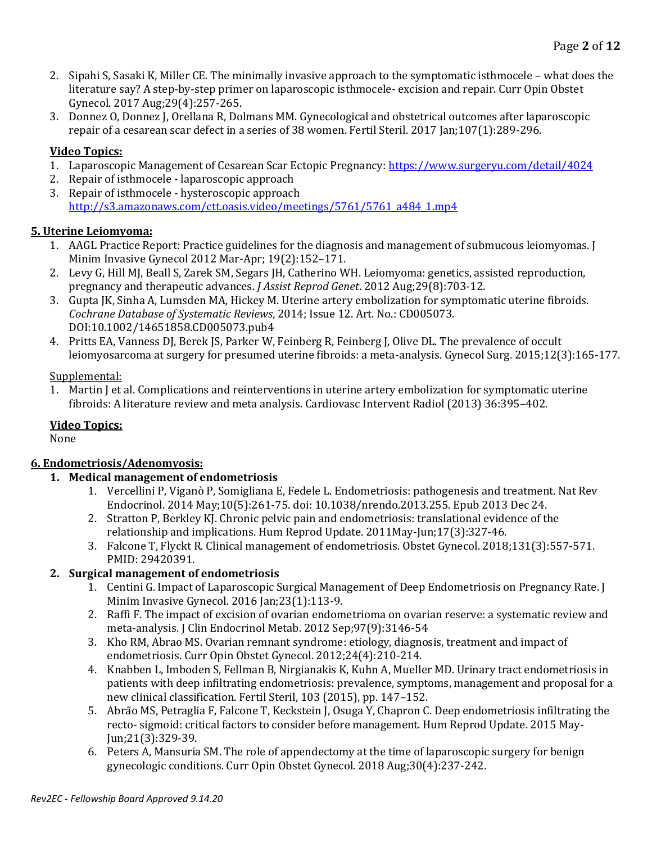- 2. [Sipahi S,](https://www.ncbi.nlm.nih.gov/pubmed/?term=Sipahi%20S%5BAuthor%5D&cauthor=true&cauthor_uid=28598911) [Sasaki K,](https://www.ncbi.nlm.nih.gov/pubmed/?term=Sasaki%20K%5BAuthor%5D&cauthor=true&cauthor_uid=28598911) [Miller CE.](https://www.ncbi.nlm.nih.gov/pubmed/?term=Miller%20CE%5BAuthor%5D&cauthor=true&cauthor_uid=28598911) The minimally invasive approach to the symptomatic isthmocele what does the literature say? A step-by-step primer on laparoscopic isthmocele- excision and repair. Curr Opin Obstet Gynecol. 2017 Aug;29(4):257-265.
- 3. Donnez O, Donnez J, Orellana R, Dolmans MM. Gynecological and obstetrical outcomes after laparoscopic repair of a cesarean scar defect in a series of 38 women. Fertil Steril. 2017 Jan;107(1):289-296.

## **Video Topics:**

- 1. Laparoscopic Management of Cesarean Scar Ectopic Pregnancy: <https://www.surgeryu.com/detail/4024>
- 2. Repair of isthmocele laparoscopic approach
- 3. Repair of isthmocele hysteroscopic approach [http://s3.amazonaws.com/ctt.oasis.video/meetings/5761/5761\\_a484\\_1.mp4](http://s3.amazonaws.com/ctt.oasis.video/meetings/5761/5761_a484_1.mp4)

## **5. Uterine Leiomyoma:**

- 1. AAGL Practice Report: Practice guidelines for the diagnosis and management of submucous leiomyomas. J Minim Invasive Gynecol 2012 Mar‐Apr; 19(2):152–171.
- 2. [Levy G,](http://www.ncbi.nlm.nih.gov/pubmed/?term=Levy%20G%5BAuthor%5D&cauthor=true&cauthor_uid=22584729) [Hill MJ,](http://www.ncbi.nlm.nih.gov/pubmed/?term=Hill%20MJ%5BAuthor%5D&cauthor=true&cauthor_uid=22584729) [Beall S,](http://www.ncbi.nlm.nih.gov/pubmed/?term=Beall%20S%5BAuthor%5D&cauthor=true&cauthor_uid=22584729) [Zarek SM,](http://www.ncbi.nlm.nih.gov/pubmed/?term=Zarek%20SM%5BAuthor%5D&cauthor=true&cauthor_uid=22584729) [Segars JH,](http://www.ncbi.nlm.nih.gov/pubmed/?term=Segars%20JH%5BAuthor%5D&cauthor=true&cauthor_uid=22584729) [Catherino WH.](http://www.ncbi.nlm.nih.gov/pubmed/?term=Catherino%20WH%5BAuthor%5D&cauthor=true&cauthor_uid=22584729) Leiomyoma: genetics, assisted reproduction, pregnancy and therapeutic advances. *[J Assist Reprod Genet](http://www.ncbi.nlm.nih.gov/pubmed/22584729)*. 2012 Aug;29(8):703-12.
- 3. Gupta JK, Sinha A, Lumsden MA, Hickey M. Uterine artery embolization for symptomatic uterine fibroids. *Cochrane Database of Systematic Reviews*, 2014; Issue 12. Art. No.: CD005073. DOI:10.1002/14651858.CD005073.pub4
- 4. [Pritts EA,](http://www.ncbi.nlm.nih.gov/pubmed/?term=Pritts%20EA%5BAuthor%5D&cauthor=true&cauthor_uid=26283890) [Vanness DJ,](http://www.ncbi.nlm.nih.gov/pubmed/?term=Vanness%20DJ%5BAuthor%5D&cauthor=true&cauthor_uid=26283890) [Berek JS,](http://www.ncbi.nlm.nih.gov/pubmed/?term=Berek%20JS%5BAuthor%5D&cauthor=true&cauthor_uid=26283890) [Parker W,](http://www.ncbi.nlm.nih.gov/pubmed/?term=Parker%20W%5BAuthor%5D&cauthor=true&cauthor_uid=26283890) [Feinberg R,](http://www.ncbi.nlm.nih.gov/pubmed/?term=Feinberg%20R%5BAuthor%5D&cauthor=true&cauthor_uid=26283890) [Feinberg J,](http://www.ncbi.nlm.nih.gov/pubmed/?term=Feinberg%20J%5BAuthor%5D&cauthor=true&cauthor_uid=26283890) [Olive DL.](http://www.ncbi.nlm.nih.gov/pubmed/?term=Olive%20DL%5BAuthor%5D&cauthor=true&cauthor_uid=26283890) The prevalence of occult leiomyosarcoma at surgery for presumed uterine fibroids: a meta-analysis[. Gynecol Surg.](http://www.ncbi.nlm.nih.gov/pubmed/26283890) 2015;12(3):165-177.

### Supplemental:

1. Martin J et al. Complications and reinterventions in uterine artery embolization for symptomatic uterine fibroids: A literature review and meta analysis. Cardiovasc Intervent Radiol (2013) 36:395–402.

## **Video Topics:**

None

## **6. Endometriosis/Adenomyosis:**

## **1. Medical management of endometriosis**

- 1. [Vercellini P,](http://www.ncbi.nlm.nih.gov/pubmed/?term=Vercellini%20P%5BAuthor%5D&cauthor=true&cauthor_uid=24366116) [Viganò P,](http://www.ncbi.nlm.nih.gov/pubmed/?term=Vigan%C3%B2%20P%5BAuthor%5D&cauthor=true&cauthor_uid=24366116) [Somigliana E,](http://www.ncbi.nlm.nih.gov/pubmed/?term=Somigliana%20E%5BAuthor%5D&cauthor=true&cauthor_uid=24366116) [Fedele L.](http://www.ncbi.nlm.nih.gov/pubmed/?term=Fedele%20L%5BAuthor%5D&cauthor=true&cauthor_uid=24366116) Endometriosis: pathogenesis and treatment[. Nat Rev](http://www.ncbi.nlm.nih.gov/pubmed/24366116)  [Endocrinol.](http://www.ncbi.nlm.nih.gov/pubmed/24366116) 2014 May;10(5):261-75. doi: 10.1038/nrendo.2013.255. Epub 2013 Dec 24.
- 2. Stratton P, Berkley KJ. Chronic pelvic pain and endometriosis: translational evidence of the relationship and implications. Hum Reprod Update. 2011May-Jun;17(3):327-46.
- 3. Falcone T, Flyckt R[. Clinical management of endometriosis.](https://journals.lww.com/greenjournal/Fulltext/2018/03000/Clinical_Management_of_Endometriosis.23.aspx) Obstet Gynecol. 2018;131(3):557-571. PMID: 29420391.

### **2. Surgical management of endometriosis**

- 1. Centini G. Impact of Laparoscopic Surgical Management of Deep Endometriosis on Pregnancy Rate. J Minim Invasive Gynecol. 2016 Jan;23(1):113-9.
- 2. Raffi F. The impact of excision of ovarian endometrioma on ovarian reserve: a systematic review and meta-analysis. J Clin Endocrinol Metab. 2012 Sep;97(9):3146-54
- 3. Kho RM, Abrao MS. Ovarian remnant syndrome: etiology, diagnosis, treatment and impact of endometriosis. Curr Opin Obstet Gynecol. 2012;24(4):210-214.
- 4. Knabben L, Imboden S, Fellman B, Nirgianakis K, Kuhn A, Mueller MD. Urinary tract endometriosis in patients with deep infiltrating endometriosis: prevalence, symptoms, management and proposal for a new clinical classification. Fertil Steril, 103 (2015), pp. 147–152.
- 5. Abrão MS, Petraglia F, Falcone T, Keckstein J, Osuga Y, Chapron C. Deep endometriosis infiltrating the recto‐ sigmoid: critical factors to consider before management. Hum Reprod Update. 2015 May‐ Jun;21(3):329‐39.
- 6. Peters A, Mansuria SM. The role of appendectomy at the time of laparoscopic surgery for benign gynecologic conditions. Curr Opin Obstet Gynecol. 2018 Aug;30(4):237-242.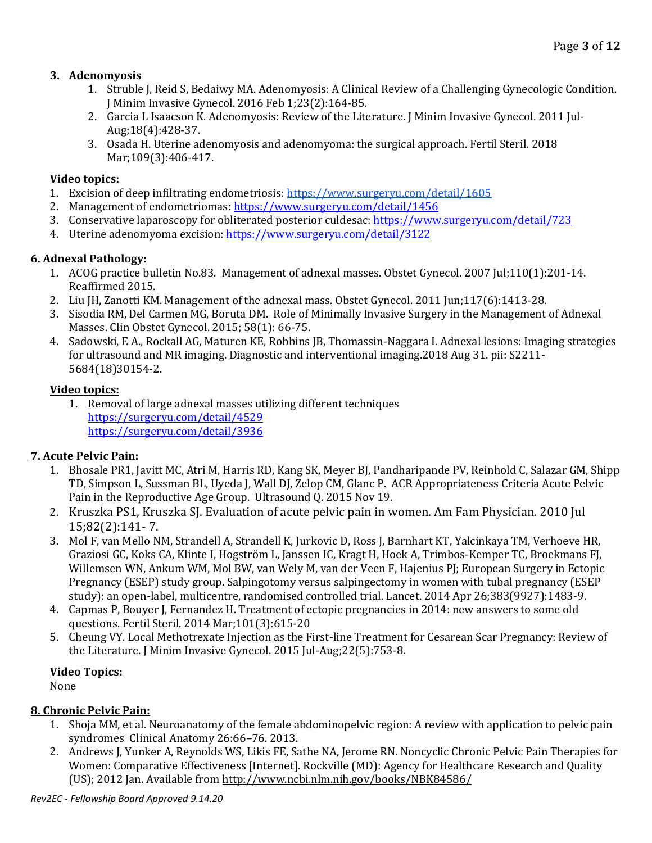## **3. Adenomyosis**

- 1. Struble J, Reid S, Bedaiwy MA. Adenomyosis: A Clinical Review of a Challenging Gynecologic Condition. J Minim Invasive Gynecol. 2016 Feb 1;23(2):164-85.
- 2. Garcia L Isaacson K. Adenomyosis: Review of the Literature. J Minim Invasive Gynecol. 2011 Jul-Aug;18(4):428-37.
- 3. Osada H. Uterine adenomyosis and adenomyoma: the surgical approach. Fertil Steril. 2018 Mar;109(3):406-417.

## **Video topics:**

- 1. Excision of deep infiltrating endometriosis[: https://www.surgeryu.com/detail/1605](https://www.surgeryu.com/detail/1605)
- 2. Management of endometriomas[: https://www.surgeryu.com/detail/1456](https://www.surgeryu.com/detail/1456)
- 3. Conservative laparoscopy for obliterated posterior culdesac:<https://www.surgeryu.com/detail/723>
- 4. Uterine adenomyoma excision[: https://www.surgeryu.com/detail/3122](https://www.surgeryu.com/detail/3122)

## **6. Adnexal Pathology:**

- 1. ACOG practice bulletin No.83. Management of adnexal masses. Obstet Gynecol. 2007 Jul;110(1):201-14. Reaffirmed 2015.
- 2. Liu JH, Zanotti KM. Management of the adnexal mass. Obstet Gynecol. 2011 Jun;117(6):1413-28.
- 3. Sisodia RM, Del Carmen MG, Boruta DM. Role of Minimally Invasive Surgery in the Management of Adnexal Masses. Clin Obstet Gynecol. 2015; 58(1): 66-75.
- 4. Sadowski, E A., Rockall AG, Maturen KE, Robbins JB, Thomassin-Naggara I. Adnexal lesions: Imaging strategies for ultrasound and MR imaging. Diagnostic and interventional imaging.2018 Aug 31. pii: S2211- 5684(18)30154-2.

## **Video topics:**

1. Removal of large adnexal masses utilizing different techniques <https://surgeryu.com/detail/4529> <https://surgeryu.com/detail/3936>

## **7. Acute Pelvic Pain:**

- 1. Bhosale PR1, Javitt MC, Atri M, Harris RD, Kang SK, Meyer BJ, Pandharipande PV, Reinhold C, Salazar GM, Shipp TD, Simpson L, Sussman BL, Uyeda J, Wall DJ, Zelop CM, Glanc P. ACR Appropriateness Criteria Acute Pelvic Pain in the Reproductive Age Group. Ultrasound Q. 2015 Nov 19.
- 2. Kruszka PS1, Kruszka SJ. Evaluation of acute pelvic pain in women. Am Fam Physician. 2010 Jul 15;82(2):141- 7.
- 3. Mol F, van Mello NM, Strandell A, Strandell K, Jurkovic D, Ross J, Barnhart KT, Yalcinkaya TM, Verhoeve HR, Graziosi GC, Koks CA, Klinte I, Hogström L, Janssen IC, Kragt H, Hoek A, Trimbos-Kemper TC, Broekmans FJ, Willemsen WN, Ankum WM, Mol BW, van Wely M, van der Veen F, Hajenius PJ; European Surgery in Ectopic Pregnancy (ESEP) study group. Salpingotomy versus salpingectomy in women with tubal pregnancy (ESEP study): an open-label, multicentre, randomised controlled trial. Lancet. 2014 Apr 26;383(9927):1483-9.
- 4. Capmas P, Bouyer J, Fernandez H. Treatment of ectopic pregnancies in 2014: new answers to some old questions. Fertil Steril. 2014 Mar;101(3):615-20
- 5. Cheung VY. Local Methotrexate Injection as the First-line Treatment for Cesarean Scar Pregnancy: Review of the Literature. J Minim Invasive Gynecol. 2015 Jul-Aug;22(5):753-8.

## **Video Topics:**

None

## **8. Chronic Pelvic Pain:**

- 1. Shoja MM, et al. Neuroanatomy of the female abdominopelvic region: A review with application to pelvic pain syndromes Clinical Anatomy 26:66–76. 2013.
- 2. Andrews J, Yunker A, Reynolds WS, Likis FE, Sathe NA, Jerome RN. Noncyclic Chronic Pelvic Pain Therapies for Women: Comparative Effectiveness [Internet]. Rockville (MD): Agency for Healthcare Research and Quality (US); 2012 Jan. Available fro[m http://www.ncbi.nlm.nih.gov/books/NBK84586/](http://www.ncbi.nlm.nih.gov/books/NBK84586/)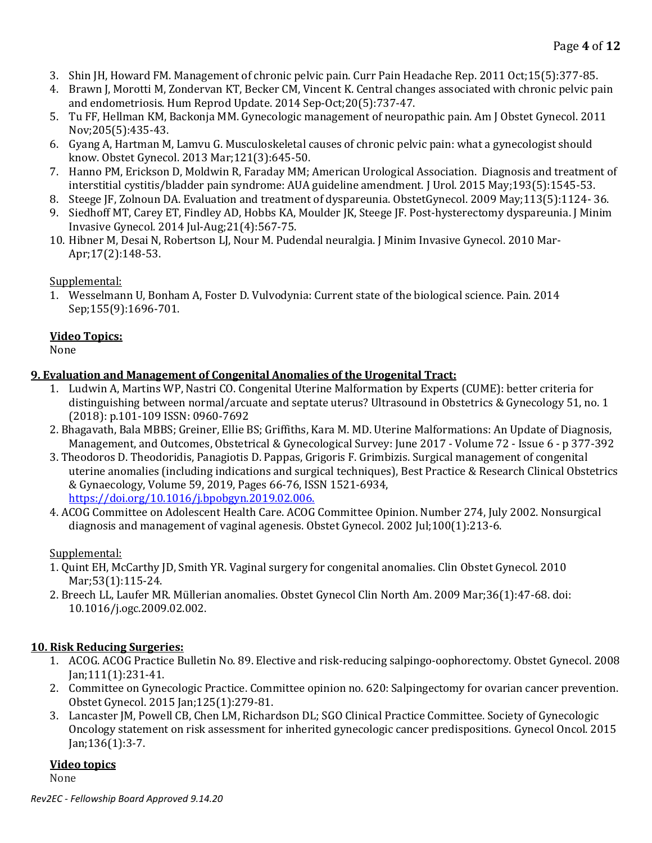- 3. Shin JH, Howard FM. Management of chronic pelvic pain. Curr Pain Headache Rep. 2011 Oct;15(5):377-85.
- 4. Brawn J, Morotti M, Zondervan KT, Becker CM, Vincent K. Central changes associated with chronic pelvic pain and endometriosis. Hum Reprod Update. 2014 Sep-Oct;20(5):737-47.
- 5. Tu FF, Hellman KM, Backonja MM. Gynecologic management of neuropathic pain. Am J Obstet Gynecol. 2011 Nov;205(5):435-43.
- 6. Gyang A, Hartman M, Lamvu G. Musculoskeletal causes of chronic pelvic pain: what a gynecologist should know. Obstet Gynecol. 2013 Mar;121(3):645-50.
- 7. Hanno PM, Erickson D, Moldwin R, Faraday MM; American Urological Association. Diagnosis and treatment of interstitial cystitis/bladder pain syndrome: AUA guideline amendment. J Urol. 2015 May;193(5):1545-53.
- 8. Steege JF, Zolnoun DA. Evaluation and treatment of dyspareunia. ObstetGynecol. 2009 May;113(5):1124- 36.
- 9. Siedhoff MT, Carey ET, Findley AD, Hobbs KA, Moulder JK, Steege JF. Post-hysterectomy dyspareunia. J Minim Invasive Gynecol. 2014 Jul-Aug;21(4):567-75.
- 10. Hibner M, Desai N, Robertson LJ, Nour M. Pudendal neuralgia. J Minim Invasive Gynecol. 2010 Mar-Apr;17(2):148-53.

## Supplemental:

1. Wesselmann U, Bonham A, Foster D. Vulvodynia: Current state of the biological science. Pain. 2014 Sep;155(9):1696-701.

## **Video Topics:**

None

## **9. Evaluation and Management of Congenital Anomalies of the Urogenital Tract:**

- 1. Ludwin A, Martins WP, Nastri CO. Congenital Uterine Malformation by Experts (CUME): better criteria for distinguishing between normal/arcuate and septate uterus? Ultrasound in Obstetrics & Gynecology 51, no. 1 (2018): p.101-109 ISSN: 0960-7692
- 2. Bhagavath, Bala MBBS; Greiner, Ellie BS; Griffiths, Kara M. MD. Uterine Malformations: An Update of Diagnosis, Management, and Outcomes, Obstetrical & Gynecological Survey: June 2017 - Volume 72 - Issue 6 - p 377-392
- 3. Theodoros D. Theodoridis, Panagiotis D. Pappas, Grigoris F. Grimbizis. Surgical management of congenital uterine anomalies (including indications and surgical techniques), Best Practice & Research Clinical Obstetrics & Gynaecology, Volume 59, 2019, Pages 66-76, ISSN 1521-6934, <https://doi.org/10.1016/j.bpobgyn.2019.02.006.>
- 4. ACOG Committee on Adolescent Health Care. ACOG Committee Opinion. Number 274, July 2002. Nonsurgical diagnosis and management of vaginal agenesis. Obstet Gynecol. 2002 Jul;100(1):213‐6.

## Supplemental:

- 1. Quint EH, McCarthy JD, Smith YR. Vaginal surgery for congenital anomalies. Clin Obstet Gynecol. 2010 Mar;53(1):115-24.
- 2. Breech LL, Laufer MR. Müllerian anomalies. Obstet Gynecol Clin North Am. 2009 Mar;36(1):47‐68. doi: 10.1016/j.ogc.2009.02.002.

## **10. Risk Reducing Surgeries:**

- 1. [ACOG.](http://www.ncbi.nlm.nih.gov/pubmed/?term=ACOG%5BCorporate%20Author%5D) ACOG Practice Bulletin No. 89. Elective and risk-reducing salpingo-oophorectomy[. Obstet Gynecol.](http://www.ncbi.nlm.nih.gov/pubmed/18165419) 2008 Jan;111(1):231-41.
- 2. [Committee on Gynecologic Practice.](http://www.ncbi.nlm.nih.gov/pubmed/?term=Committee%20on%20Gynecologic%20Practice%5BCorporate%20Author%5D) Committee opinion no. 620: Salpingectomy for ovarian cancer prevention. [Obstet Gynecol.](http://www.ncbi.nlm.nih.gov/pubmed/25560145) 2015 Jan;125(1):279-81.
- 3. [Lancaster JM,](http://www.ncbi.nlm.nih.gov/pubmed/?term=Lancaster%20JM%5BAuthor%5D&cauthor=true&cauthor_uid=25238946) [Powell CB,](http://www.ncbi.nlm.nih.gov/pubmed/?term=Powell%20CB%5BAuthor%5D&cauthor=true&cauthor_uid=25238946) [Chen LM,](http://www.ncbi.nlm.nih.gov/pubmed/?term=Chen%20LM%5BAuthor%5D&cauthor=true&cauthor_uid=25238946) [Richardson DL;](http://www.ncbi.nlm.nih.gov/pubmed/?term=Richardson%20DL%5BAuthor%5D&cauthor=true&cauthor_uid=25238946) [SGO Clinical Practice Committee.](http://www.ncbi.nlm.nih.gov/pubmed/?term=SGO%20Clinical%20Practice%20Committee%5BCorporate%20Author%5D) Society of Gynecologic Oncology statement on risk assessment for inherited gynecologic cancer predispositions. [Gynecol Oncol.](http://www.ncbi.nlm.nih.gov/pubmed/25238946) 2015 Jan;136(1):3-7.

## **Video topics**

None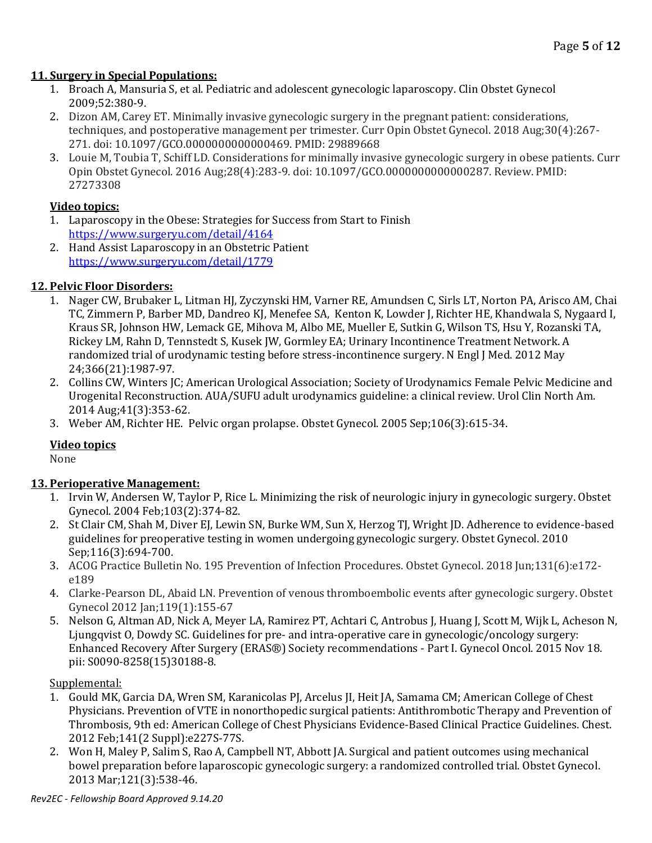## **11. Surgery in Special Populations:**

- 1. Broach A, Mansuria S, et al. Pediatric and adolescent gynecologic laparoscopy. Clin Obstet Gynecol 2009;52:380-9.
- 2. Dizon AM, Carey ET. Minimally invasive gynecologic surgery in the pregnant patient: considerations, techniques, and postoperative management per trimester. Curr Opin Obstet Gynecol. 2018 Aug;30(4):267- 271. doi: 10.1097/GCO.0000000000000469. PMID: 29889668
- 3. Louie M, Toubia T, Schiff LD. Considerations for minimally invasive gynecologic surgery in obese patients. Curr Opin Obstet Gynecol. 2016 Aug;28(4):283-9. doi: 10.1097/GCO.0000000000000287. Review. PMID: 27273308

## **Video topics:**

- 1. Laparoscopy in the Obese: Strategies for Success from Start to Finish <https://www.surgeryu.com/detail/4164>
- 2. Hand Assist Laparoscopy in an Obstetric Patient <https://www.surgeryu.com/detail/1779>

## **12. Pelvic Floor Disorders:**

- 1. Nager CW, Brubaker L, Litman HJ, Zyczynski HM, Varner RE, Amundsen C, Sirls LT, Norton PA, Arisco AM, Chai TC, Zimmern P, Barber MD, Dandreo KJ, Menefee SA, Kenton K, Lowder J, Richter HE, Khandwala S, Nygaard I, Kraus SR, Johnson HW, Lemack GE, Mihova M, Albo ME, Mueller E, Sutkin G, Wilson TS, Hsu Y, Rozanski TA, Rickey LM, Rahn D, Tennstedt S, Kusek JW, Gormley EA; Urinary Incontinence Treatment Network. A randomized trial of urodynamic testing before stress-incontinence surgery. N Engl J Med. 2012 May 24;366(21):1987-97.
- 2. Collins CW, Winters JC; American Urological Association; Society of Urodynamics Female Pelvic Medicine and Urogenital Reconstruction. AUA/SUFU adult urodynamics guideline: a clinical review. Urol Clin North Am. 2014 Aug;41(3):353-62.
- 3. Weber AM, Richter HE. Pelvic organ prolapse. Obstet Gynecol. 2005 Sep;106(3):615-34.

## **Video topics**

None

## **13. Perioperative Management:**

- 1. Irvin W, Andersen W, Taylor P, Rice L. Minimizing the risk of neurologic injury in gynecologic surgery. Obstet Gynecol. 2004 Feb;103(2):374-82.
- 2. St Clair CM, Shah M, Diver EJ, Lewin SN, Burke WM, Sun X, Herzog TJ, Wright JD. Adherence to evidence-based guidelines for preoperative testing in women undergoing gynecologic surgery. Obstet Gynecol. 2010 Sep;116(3):694-700.
- 3. ACOG Practice Bulletin No. 195 Prevention of Infection Procedures. Obstet Gynecol. 2018 Jun;131(6):e172 e189
- 4. Clarke-Pearson DL, Abaid LN. Prevention of venous thromboembolic events after gynecologic surgery. Obstet Gynecol 2012 Jan;119(1):155-67
- 5. Nelson G, Altman AD, Nick A, Meyer LA, Ramirez PT, Achtari C, Antrobus J, Huang J, Scott M, Wijk L, Acheson N, Ljungqvist O, Dowdy SC. Guidelines for pre- and intra-operative care in gynecologic/oncology surgery: Enhanced Recovery After Surgery (ERAS®) Society recommendations - Part I. Gynecol Oncol. 2015 Nov 18. pii: S0090-8258(15)30188-8.

### Supplemental:

- 1. Gould MK, Garcia DA, Wren SM, Karanicolas PJ, Arcelus JI, Heit JA, Samama CM; American College of Chest Physicians. Prevention of VTE in nonorthopedic surgical patients: Antithrombotic Therapy and Prevention of Thrombosis, 9th ed: American College of Chest Physicians Evidence-Based Clinical Practice Guidelines. Chest. 2012 Feb;141(2 Suppl):e227S-77S.
- 2. Won H, Maley P, Salim S, Rao A, Campbell NT, Abbott JA. Surgical and patient outcomes using mechanical bowel preparation before laparoscopic gynecologic surgery: a randomized controlled trial. Obstet Gynecol. 2013 Mar;121(3):538-46.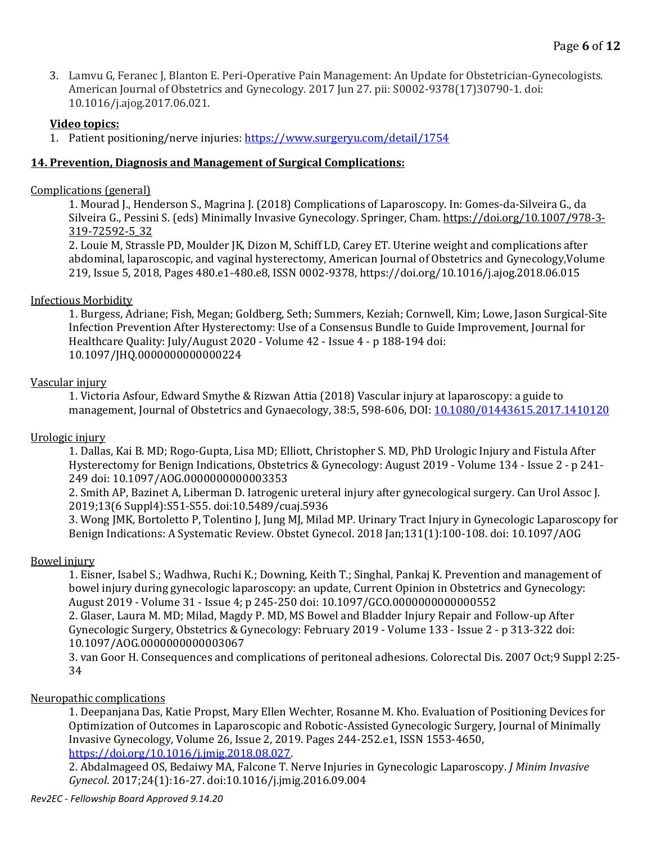3. Lamvu G, Feranec J, Blanton E. Peri-Operative Pain Management: An Update for Obstetrician-Gynecologists. American Journal of Obstetrics and Gynecology. 2017 Jun 27. pii: S0002-9378(17)30790-1. doi: 10.1016/j.ajog.2017.06.021.

#### **Video topics:**

1. Patient positioning/nerve injuries:<https://www.surgeryu.com/detail/1754>

#### **14. Prevention, Diagnosis and Management of Surgical Complications:**

#### Complications (general)

1. Mourad J., Henderson S., Magrina J. (2018) Complications of Laparoscopy. In: Gomes-da-Silveira G., da Silveira G., Pessini S. (eds) Minimally Invasive Gynecology. Springer, Cham. [https://doi.org/10.1007/978-3-](https://doi.org/10.1007/978-3-319-72592-5_32) [319-72592-5\\_32](https://doi.org/10.1007/978-3-319-72592-5_32)

2. Louie M, Strassle PD, Moulder JK, Dizon M, Schiff LD, Carey ET. Uterine weight and complications after abdominal, laparoscopic, and vaginal hysterectomy, American Journal of Obstetrics and Gynecology,Volume 219, Issue 5, 2018, Pages 480.e1-480.e8, ISSN 0002-9378, https://doi.org/10.1016/j.ajog.2018.06.015

#### Infectious Morbidity

1. Burgess, Adriane; Fish, Megan; Goldberg, Seth; Summers, Keziah; Cornwell, Kim; Lowe, Jason Surgical-Site Infection Prevention After Hysterectomy: Use of a Consensus Bundle to Guide Improvement, Journal for Healthcare Quality: July/August 2020 - Volume 42 - Issue 4 - p 188-194 doi: 10.1097/JHQ.0000000000000224

#### Vascular injury

1. Victoria Asfour, Edward Smythe & Rizwan Attia (2018) Vascular injury at laparoscopy: a guide to management, Journal of Obstetrics and Gynaecology, 38:5, 598-606, DOI: [10.1080/01443615.2017.1410120](https://doi.org/10.1080/01443615.2017.1410120)

### Urologic injury

1. Dallas, Kai B. MD; Rogo-Gupta, Lisa MD; Elliott, Christopher S. MD, PhD Urologic Injury and Fistula After Hysterectomy for Benign Indications, Obstetrics & Gynecology: August 2019 - Volume 134 - Issue 2 - p 241- 249 doi: 10.1097/AOG.0000000000003353

2. Smith AP, Bazinet A, Liberman D. Iatrogenic ureteral injury after gynecological surgery. Can Urol Assoc J. 2019;13(6 Suppl4):S51-S55. doi:10.5489/cuaj.5936

3. Wong JMK, Bortoletto P, Tolentino J, Jung MJ, Milad MP. Urinary Tract Injury in Gynecologic Laparoscopy for Benign Indications: A Systematic Review. Obstet Gynecol. 2018 Jan;131(1):100-108. doi: 10.1097/AOG

### Bowel injury

1. Eisner, Isabel S.; Wadhwa, Ruchi K.; Downing, Keith T.; Singhal, Pankaj K. Prevention and management of bowel injury during gynecologic laparoscopy: an update, Current Opinion in Obstetrics and Gynecology: August 2019 - Volume 31 - Issue 4; p 245-250 doi: 10.1097/GCO.0000000000000552

2. Glaser, Laura M. MD; Milad, Magdy P. MD, MS Bowel and Bladder Injury Repair and Follow-up After Gynecologic Surgery, Obstetrics & Gynecology: February 2019 - Volume 133 - Issue 2 - p 313-322 doi: 10.1097/AOG.0000000000003067

3. van Goor H. Consequences and complications of peritoneal adhesions. Colorectal Dis. 2007 Oct;9 Suppl 2:25‐ 34

#### Neuropathic complications

1. Deepanjana Das, Katie Propst, Mary Ellen Wechter, Rosanne M. Kho. Evaluation of Positioning Devices for Optimization of Outcomes in Laparoscopic and Robotic-Assisted Gynecologic Surgery, Journal of Minimally Invasive Gynecology, Volume 26, Issue 2, 2019. Pages 244-252.e1, ISSN 1553-4650, [https://doi.org/10.1016/j.jmig.2018.08.027.](https://doi.org/10.1016/j.jmig.2018.08.027)

2. Abdalmageed OS, Bedaiwy MA, Falcone T. Nerve Injuries in Gynecologic Laparoscopy. *J Minim Invasive Gynecol*. 2017;24(1):16-27. doi:10.1016/j.jmig.2016.09.004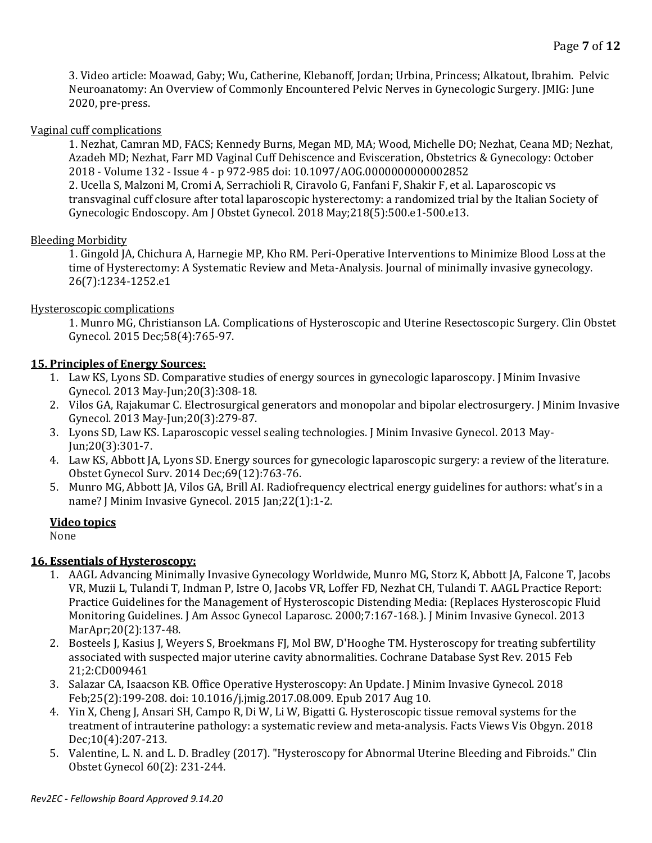3. Video article: Moawad, Gaby; Wu, Catherine, Klebanoff, Jordan; Urbina, Princess; Alkatout, Ibrahim. Pelvic Neuroanatomy: An Overview of Commonly Encountered Pelvic Nerves in Gynecologic Surgery. JMIG: June 2020, pre-press.

### Vaginal cuff complications

1. Nezhat, Camran MD, FACS; Kennedy Burns, Megan MD, MA; Wood, Michelle DO; Nezhat, Ceana MD; Nezhat, Azadeh MD; Nezhat, Farr MD Vaginal Cuff Dehiscence and Evisceration, Obstetrics & Gynecology: October 2018 - Volume 132 - Issue 4 - p 972-985 doi: 10.1097/AOG.0000000000002852 2. Ucella S, Malzoni M, Cromi A, Serrachioli R, Ciravolo G, Fanfani F, Shakir F, et al. Laparoscopic vs transvaginal cuff closure after total laparoscopic hysterectomy: a randomized trial by the Italian Society of Gynecologic Endoscopy. Am J Obstet Gynecol. 2018 May;218(5):500.e1-500.e13.

## **Bleeding Morbidity**

1. Gingold JA, Chichura A, Harnegie MP, Kho RM. Peri-Operative Interventions to Minimize Blood Loss at the time of Hysterectomy: A Systematic Review and Meta-Analysis. Journal of minimally invasive gynecology. 26(7):1234-1252.e1

## Hysteroscopic complications

1. Munro MG, Christianson LA. Complications of Hysteroscopic and Uterine Resectoscopic Surgery. Clin Obstet Gynecol. 2015 Dec;58(4):765-97.

## **15. Principles of Energy Sources:**

- 1. Law KS, Lyons SD. Comparative studies of energy sources in gynecologic laparoscopy. J Minim Invasive Gynecol. 2013 May-Jun;20(3):308-18.
- 2. Vilos GA, Rajakumar C. Electrosurgical generators and monopolar and bipolar electrosurgery. J Minim Invasive Gynecol. 2013 May-Jun;20(3):279-87.
- 3. Lyons SD, Law KS. Laparoscopic vessel sealing technologies. J Minim Invasive Gynecol. 2013 May-Jun;20(3):301-7.
- 4. Law KS, Abbott JA, Lyons SD. Energy sources for gynecologic laparoscopic surgery: a review of the literature. Obstet Gynecol Surv. 2014 Dec;69(12):763-76.
- 5. Munro MG, Abbott JA, Vilos GA, Brill AI. Radiofrequency electrical energy guidelines for authors: what's in a name? J Minim Invasive Gynecol. 2015 Jan;22(1):1-2.

## **Video topics**

None

## **16. Essentials of Hysteroscopy:**

- 1. AAGL Advancing Minimally Invasive Gynecology Worldwide, Munro MG, Storz K, Abbott JA, Falcone T, Jacobs VR, Muzii L, Tulandi T, Indman P, Istre O, Jacobs VR, Loffer FD, Nezhat CH, Tulandi T. AAGL Practice Report: Practice Guidelines for the Management of Hysteroscopic Distending Media: (Replaces Hysteroscopic Fluid Monitoring Guidelines. J Am Assoc Gynecol Laparosc. 2000;7:167-168.). J Minim Invasive Gynecol. 2013 MarApr;20(2):137-48.
- 2. Bosteels J, Kasius J, Weyers S, Broekmans FJ, Mol BW, D'Hooghe TM. Hysteroscopy for treating subfertility associated with suspected major uterine cavity abnormalities. Cochrane Database Syst Rev. 2015 Feb 21;2:CD009461
- 3. Salazar CA, Isaacson KB. Office Operative Hysteroscopy: An Update. J Minim Invasive Gynecol. 2018 Feb;25(2):199-208. doi: 10.1016/j.jmig.2017.08.009. Epub 2017 Aug 10.
- 4. Yin X, Cheng J, Ansari SH, Campo R, Di W, Li W, Bigatti G. Hysteroscopic tissue removal systems for the treatment of intrauterine pathology: a systematic review and meta-analysis. Facts Views Vis Obgyn. 2018 Dec;10(4):207-213.
- 5. Valentine, L. N. and L. D. Bradley (2017). "Hysteroscopy for Abnormal Uterine Bleeding and Fibroids." Clin Obstet Gynecol 60(2): 231-244.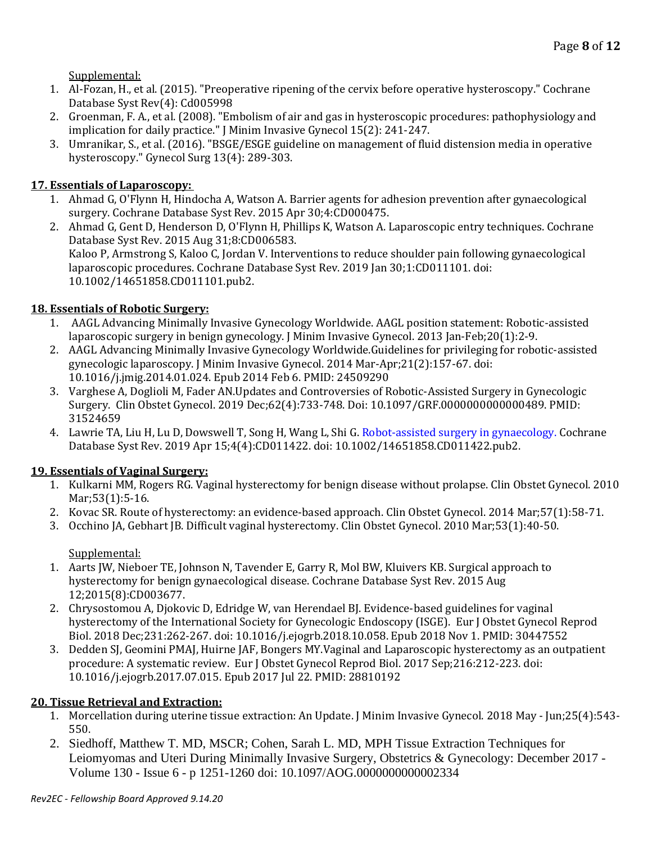Supplemental:

- 1. Al-Fozan, H., et al. (2015). "Preoperative ripening of the cervix before operative hysteroscopy." Cochrane Database Syst Rev(4): Cd005998
- 2. Groenman, F. A., et al. (2008). "Embolism of air and gas in hysteroscopic procedures: pathophysiology and implication for daily practice." J Minim Invasive Gynecol 15(2): 241-247.
- 3. Umranikar, S., et al. (2016). "BSGE/ESGE guideline on management of fluid distension media in operative hysteroscopy." Gynecol Surg 13(4): 289-303.

# **17. Essentials of Laparoscopy:**

- 1. Ahmad G, O'Flynn H, Hindocha A, Watson A. Barrier agents for adhesion prevention after gynaecological surgery. Cochrane Database Syst Rev. 2015 Apr 30;4:CD000475.
- 2. Ahmad G, Gent D, Henderson D, O'Flynn H, Phillips K, Watson A. Laparoscopic entry techniques. Cochrane Database Syst Rev. 2015 Aug 31;8:CD006583. Kaloo P, Armstrong S, Kaloo C, Jordan V. Interventions to reduce shoulder pain following gynaecological laparoscopic procedures. Cochrane Database Syst Rev. 2019 Jan 30;1:CD011101. doi: 10.1002/14651858.CD011101.pub2.

# **18. Essentials of Robotic Surgery:**

- 1. AAGL Advancing Minimally Invasive Gynecology Worldwide. AAGL position statement: Robotic‐assisted laparoscopic surgery in benign gynecology. J Minim Invasive Gynecol. 2013 Jan-Feb; 20(1): 2-9.
- 2. AAGL Advancing Minimally Invasive Gynecology Worldwide.Guidelines for privileging for robotic-assisted gynecologic laparoscopy. J Minim Invasive Gynecol. 2014 Mar-Apr;21(2):157-67. doi: 10.1016/j.jmig.2014.01.024. Epub 2014 Feb 6. PMID: 24509290
- 3. Varghese A, Doglioli M, Fader AN.Updates and Controversies of Robotic-Assisted Surgery in Gynecologic Surgery. Clin Obstet Gynecol. 2019 Dec;62(4):733-748. Doi: 10.1097/GRF.0000000000000489. PMID: 31524659
- 4. Lawrie TA, Liu H, Lu D, Dowswell T, Song H, Wang L, Shi G. [Robot-assisted surgery in gynaecology.](https://pubmed.ncbi.nlm.nih.gov/30985921/) Cochrane Database Syst Rev. 2019 Apr 15;4(4):CD011422. doi: 10.1002/14651858.CD011422.pub2.

## **19. Essentials of Vaginal Surgery:**

- 1. Kulkarni MM, Rogers RG. Vaginal hysterectomy for benign disease without prolapse. Clin Obstet Gynecol. 2010 Mar;53(1):5-16.
- 2. Kovac SR. Route of hysterectomy: an evidence-based approach. Clin Obstet Gynecol. 2014 Mar;57(1):58-71.
- 3. Occhino JA, Gebhart JB. Difficult vaginal hysterectomy. Clin Obstet Gynecol. 2010 Mar;53(1):40-50.

Supplemental:

- 1. Aarts JW, Nieboer TE, Johnson N, Tavender E, Garry R, Mol BW, Kluivers KB. Surgical approach to hysterectomy for benign gynaecological disease. Cochrane Database Syst Rev. 2015 Aug 12;2015(8):CD003677.
- 2. Chrysostomou A, Djokovic D, Edridge W, van Herendael BJ. Evidence-based guidelines for vaginal hysterectomy of the International Society for Gynecologic Endoscopy (ISGE). Eur J Obstet Gynecol Reprod Biol. 2018 Dec;231:262-267. doi: 10.1016/j.ejogrb.2018.10.058. Epub 2018 Nov 1. PMID: 30447552
- 3. Dedden SJ, Geomini PMAJ, Huirne JAF, Bongers MY.Vaginal and Laparoscopic hysterectomy as an outpatient procedure: A systematic review. Eur J Obstet Gynecol Reprod Biol. 2017 Sep;216:212-223. doi: 10.1016/j.ejogrb.2017.07.015. Epub 2017 Jul 22. PMID: 28810192

## **20. Tissue Retrieval and Extraction:**

- 1. Morcellation during uterine tissue extraction: An Update. J Minim Invasive Gynecol. 2018 May Jun;25(4):543- 550.
- 2. Siedhoff, Matthew T. MD, MSCR; Cohen, Sarah L. MD, MPH Tissue Extraction Techniques for Leiomyomas and Uteri During Minimally Invasive Surgery, Obstetrics & Gynecology: December 2017 - Volume 130 - Issue 6 - p 1251-1260 doi: 10.1097/AOG.0000000000002334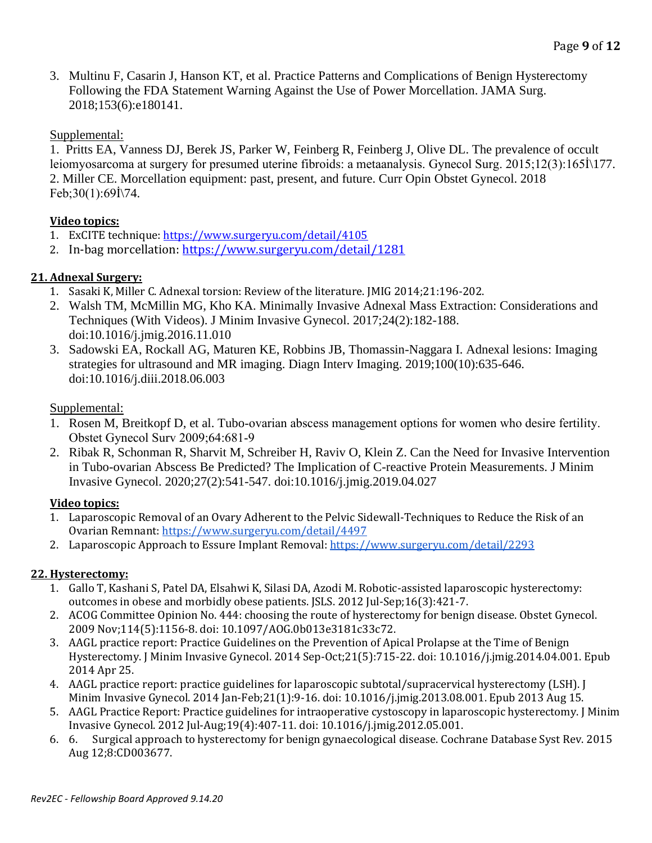3. Multinu F, Casarin J, Hanson KT, et al. Practice Patterns and Complications of Benign Hysterectomy Following the FDA Statement Warning Against the Use of Power Morcellation. JAMA Surg. 2018;153(6):e180141.

# Supplemental:

1. Pritts EA, Vanness DJ, Berek JS, Parker W, Feinberg R, Feinberg J, Olive DL. The prevalence of occult leiomyosarcoma at surgery for presumed uterine fibroids: a metaanalysis. Gynecol Surg. 2015;12(3):165İ\177. 2. Miller CE. Morcellation equipment: past, present, and future. Curr Opin Obstet Gynecol. 2018 Feb;30(1):69İ\74.

# **Video topics:**

- 1. ExCITE technique[: https://www.surgeryu.com/detail/4105](https://www.surgeryu.com/detail/4105)
- 2. In-bag morcellation:<https://www.surgeryu.com/detail/1281>

# **21. Adnexal Surgery:**

- 1. Sasaki K, Miller C. Adnexal torsion: Review of the literature. JMIG 2014;21:196-202.
- 2. Walsh TM, McMillin MG, Kho KA. Minimally Invasive Adnexal Mass Extraction: Considerations and Techniques (With Videos). J Minim Invasive Gynecol. 2017;24(2):182-188. doi:10.1016/j.jmig.2016.11.010
- 3. Sadowski EA, Rockall AG, Maturen KE, Robbins JB, Thomassin-Naggara I. Adnexal lesions: Imaging strategies for ultrasound and MR imaging. Diagn Interv Imaging. 2019;100(10):635-646. doi:10.1016/j.diii.2018.06.003

# Supplemental:

- 1. Rosen M, Breitkopf D, et al. Tubo-ovarian abscess management options for women who desire fertility. Obstet Gynecol Surv 2009;64:681‐9
- 2. Ribak R, Schonman R, Sharvit M, Schreiber H, Raviv O, Klein Z. Can the Need for Invasive Intervention in Tubo-ovarian Abscess Be Predicted? The Implication of C-reactive Protein Measurements. J Minim Invasive Gynecol. 2020;27(2):541-547. doi:10.1016/j.jmig.2019.04.027

## **Video topics:**

- 1. Laparoscopic Removal of an Ovary Adherent to the Pelvic Sidewall-Techniques to Reduce the Risk of an Ovarian Remnant[: https://www.surgeryu.com/detail/4497](https://www.surgeryu.com/detail/4497)
- 2. Laparoscopic Approach to Essure Implant Removal:<https://www.surgeryu.com/detail/2293>

## **22. Hysterectomy:**

- 1. Gallo T, Kashani S, Patel DA, Elsahwi K, Silasi DA, Azodi M. Robotic-assisted laparoscopic hysterectomy: outcomes in obese and morbidly obese patients. JSLS. 2012 Jul-Sep;16(3):421-7.
- 2. ACOG Committee Opinion No. 444: choosing the route of hysterectomy for benign disease. Obstet Gynecol. 2009 Nov;114(5):1156-8. doi: 10.1097/AOG.0b013e3181c33c72.
- 3. AAGL practice report: Practice Guidelines on the Prevention of Apical Prolapse at the Time of Benign Hysterectomy. J Minim Invasive Gynecol. 2014 Sep-Oct;21(5):715-22. doi: 10.1016/j.jmig.2014.04.001. Epub 2014 Apr 25.
- 4. AAGL practice report: practice guidelines for laparoscopic subtotal/supracervical hysterectomy (LSH). J Minim Invasive Gynecol. 2014 Jan-Feb;21(1):9-16. doi: 10.1016/j.jmig.2013.08.001. Epub 2013 Aug 15.
- 5. AAGL Practice Report: Practice guidelines for intraoperative cystoscopy in laparoscopic hysterectomy. J Minim Invasive Gynecol. 2012 Jul-Aug;19(4):407-11. doi: 10.1016/j.jmig.2012.05.001.
- 6. 6. Surgical approach to hysterectomy for benign gynaecological disease. Cochrane Database Syst Rev. 2015 Aug 12;8:CD003677.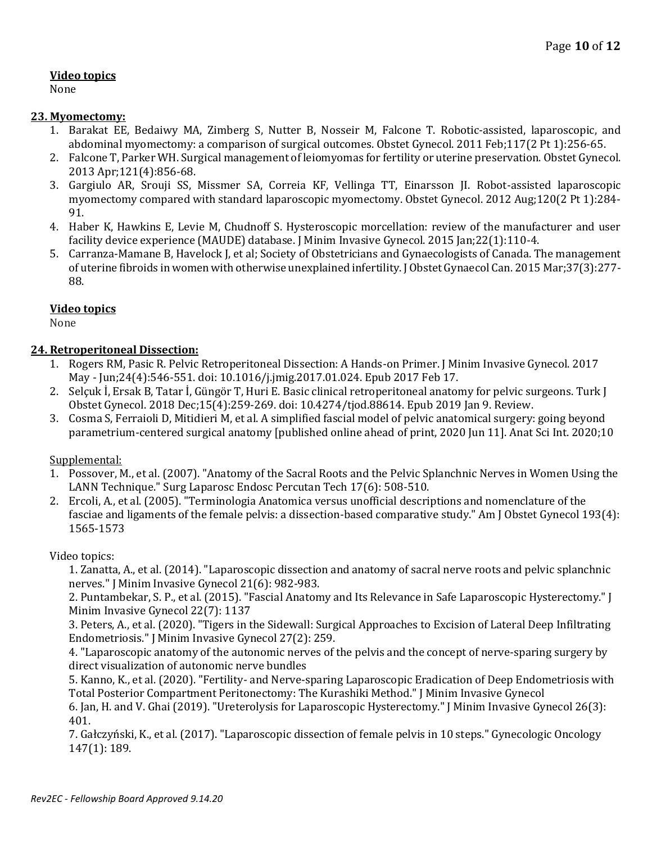## **Video topics**

None

## **23. Myomectomy:**

- 1. Barakat EE, Bedaiwy MA, Zimberg S, Nutter B, Nosseir M, Falcone T. Robotic-assisted, laparoscopic, and abdominal myomectomy: a comparison of surgical outcomes. Obstet Gynecol. 2011 Feb;117(2 Pt 1):256-65.
- 2. Falcone T, Parker WH. Surgical management of leiomyomas for fertility or uterine preservation. Obstet Gynecol. 2013 Apr;121(4):856-68.
- 3. Gargiulo AR, Srouji SS, Missmer SA, Correia KF, Vellinga TT, Einarsson JI. Robot-assisted laparoscopic myomectomy compared with standard laparoscopic myomectomy. Obstet Gynecol. 2012 Aug;120(2 Pt 1):284- 91.
- 4. Haber K, Hawkins E, Levie M, Chudnoff S. Hysteroscopic morcellation: review of the manufacturer and user facility device experience (MAUDE) database. J Minim Invasive Gynecol. 2015 Jan;22(1):110-4.
- 5. Carranza-Mamane B, Havelock J, et al; Society of Obstetricians and Gynaecologists of Canada. The management of uterine fibroids in women with otherwise unexplained infertility. J Obstet Gynaecol Can. 2015 Mar;37(3):277- 88.

## **Video topics**

None

## **24. Retroperitoneal Dissection:**

- 1. Rogers RM, Pasic R. Pelvic Retroperitoneal Dissection: A Hands-on Primer. J Minim Invasive Gynecol. 2017 May - Jun;24(4):546-551. doi: 10.1016/j.jmig.2017.01.024. Epub 2017 Feb 17.
- 2. Selçuk İ, Ersak B, Tatar İ, Güngör T, Huri E. Basic clinical retroperitoneal anatomy for pelvic surgeons. Turk J Obstet Gynecol. 2018 Dec;15(4):259-269. doi: 10.4274/tjod.88614. Epub 2019 Jan 9. Review.
- 3. Cosma S, Ferraioli D, Mitidieri M, et al. A simplified fascial model of pelvic anatomical surgery: going beyond parametrium-centered surgical anatomy [published online ahead of print, 2020 Jun 11]. Anat Sci Int. 2020;10

### Supplemental:

- 1. Possover, M., et al. (2007). "Anatomy of the Sacral Roots and the Pelvic Splanchnic Nerves in Women Using the LANN Technique." Surg Laparosc Endosc Percutan Tech 17(6): 508-510.
- 2. Ercoli, A., et al. (2005). "Terminologia Anatomica versus unofficial descriptions and nomenclature of the fasciae and ligaments of the female pelvis: a dissection-based comparative study." Am J Obstet Gynecol 193(4): 1565-1573

## Video topics:

1. Zanatta, A., et al. (2014). "Laparoscopic dissection and anatomy of sacral nerve roots and pelvic splanchnic nerves." J Minim Invasive Gynecol 21(6): 982-983.

2. Puntambekar, S. P., et al. (2015). "Fascial Anatomy and Its Relevance in Safe Laparoscopic Hysterectomy." J Minim Invasive Gynecol 22(7): 1137

3. Peters, A., et al. (2020). "Tigers in the Sidewall: Surgical Approaches to Excision of Lateral Deep Infiltrating Endometriosis." J Minim Invasive Gynecol 27(2): 259.

4. "Laparoscopic anatomy of the autonomic nerves of the pelvis and the concept of nerve-sparing surgery by direct visualization of autonomic nerve bundles

5. Kanno, K., et al. (2020). "Fertility- and Nerve-sparing Laparoscopic Eradication of Deep Endometriosis with Total Posterior Compartment Peritonectomy: The Kurashiki Method." J Minim Invasive Gynecol

6. Jan, H. and V. Ghai (2019). "Ureterolysis for Laparoscopic Hysterectomy." J Minim Invasive Gynecol 26(3): 401.

7. Gałczyński, K., et al. (2017). "Laparoscopic dissection of female pelvis in 10 steps." Gynecologic Oncology 147(1): 189.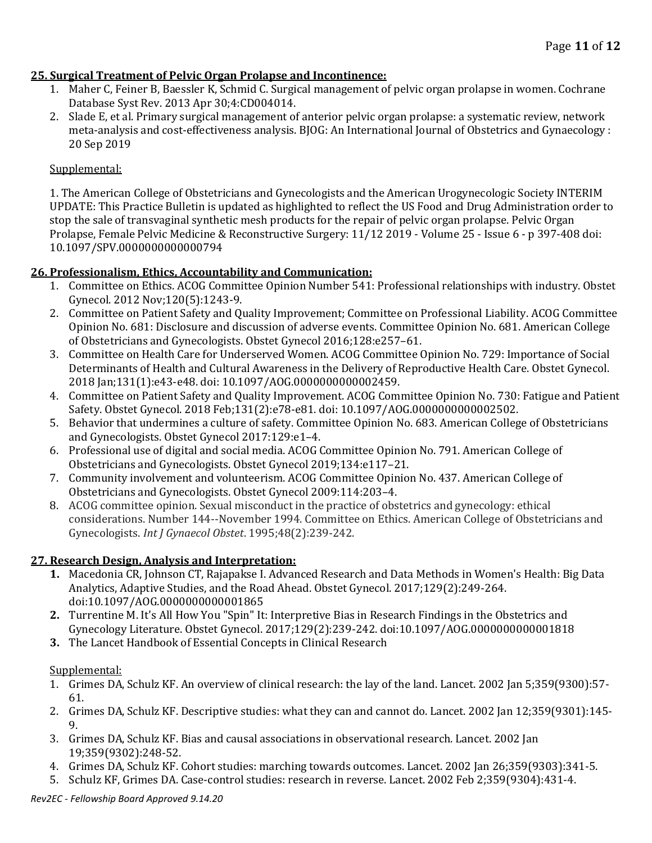## **25. Surgical Treatment of Pelvic Organ Prolapse and Incontinence:**

- 1. Maher C, Feiner B, Baessler K, Schmid C. Surgical management of pelvic organ prolapse in women. Cochrane Database Syst Rev. 2013 Apr 30;4:CD004014.
- 2. Slade E, et al. Primary surgical management of anterior pelvic organ prolapse: a systematic review, network meta-analysis and cost-effectiveness analysis. BJOG: An International Journal of Obstetrics and Gynaecology : 20 Sep 2019

### Supplemental:

1. The American College of Obstetricians and Gynecologists and the American Urogynecologic Society INTERIM UPDATE: This Practice Bulletin is updated as highlighted to reflect the US Food and Drug Administration order to stop the sale of transvaginal synthetic mesh products for the repair of pelvic organ prolapse. Pelvic Organ Prolapse, Female Pelvic Medicine & Reconstructive Surgery: 11/12 2019 - Volume 25 - Issue 6 - p 397-408 doi: 10.1097/SPV.0000000000000794

## **26. Professionalism, Ethics, Accountability and Communication:**

- 1. Committee on Ethics. ACOG Committee Opinion Number 541: Professional relationships with industry. Obstet Gynecol. 2012 Nov;120(5):1243-9.
- 2. Committee on Patient Safety and Quality Improvement; Committee on Professional Liability. ACOG Committee Opinion No. 681: Disclosure and discussion of adverse events. Committee Opinion No. 681. American College of Obstetricians and Gynecologists. Obstet Gynecol 2016;128:e257–61.
- 3. Committee on Health Care for Underserved Women. ACOG Committee Opinion No. 729: Importance of Social Determinants of Health and Cultural Awareness in the Delivery of Reproductive Health Care. Obstet Gynecol. 2018 Jan;131(1):e43-e48. doi: 10.1097/AOG.0000000000002459.
- 4. Committee on Patient Safety and Quality Improvement. ACOG Committee Opinion No. 730: Fatigue and Patient Safety. Obstet Gynecol. 2018 Feb;131(2):e78-e81. doi: 10.1097/AOG.0000000000002502.
- 5. Behavior that undermines a culture of safety. Committee Opinion No. 683. American College of Obstetricians and Gynecologists. Obstet Gynecol 2017:129:e1–4.
- 6. Professional use of digital and social media. ACOG Committee Opinion No. 791. American College of Obstetricians and Gynecologists. Obstet Gynecol 2019;134:e117–21.
- 7. Community involvement and volunteerism. ACOG Committee Opinion No. 437. American College of Obstetricians and Gynecologists. Obstet Gynecol 2009:114:203–4.
- 8. ACOG committee opinion. Sexual misconduct in the practice of obstetrics and gynecology: ethical considerations. Number 144--November 1994. Committee on Ethics. American College of Obstetricians and Gynecologists. *Int J Gynaecol Obstet*. 1995;48(2):239-242.

## **27. Research Design, Analysis and Interpretation:**

- **1.** Macedonia CR, Johnson CT, Rajapakse I. Advanced Research and Data Methods in Women's Health: Big Data Analytics, Adaptive Studies, and the Road Ahead. Obstet Gynecol. 2017;129(2):249-264. doi:10.1097/AOG.0000000000001865
- **2.** Turrentine M. It's All How You "Spin" It: Interpretive Bias in Research Findings in the Obstetrics and Gynecology Literature. Obstet Gynecol. 2017;129(2):239-242. doi:10.1097/AOG.0000000000001818
- **3.** The Lancet Handbook of Essential Concepts in Clinical Research

### Supplemental:

- 1. Grimes DA, Schulz KF. An overview of clinical research: the lay of the land. Lancet. 2002 Jan 5;359(9300):57‐ 61.
- 2. Grimes DA, Schulz KF. Descriptive studies: what they can and cannot do. Lancet. 2002 Jan 12;359(9301):145‐ 9.
- 3. Grimes DA, Schulz KF. Bias and causal associations in observational research. Lancet. 2002 Jan 19;359(9302):248‐52.
- 4. Grimes DA, Schulz KF. Cohort studies: marching towards outcomes. Lancet. 2002 Jan 26;359(9303):341‐5.
- 5. Schulz KF, Grimes DA. Case‐control studies: research in reverse. Lancet. 2002 Feb 2;359(9304):431‐4.